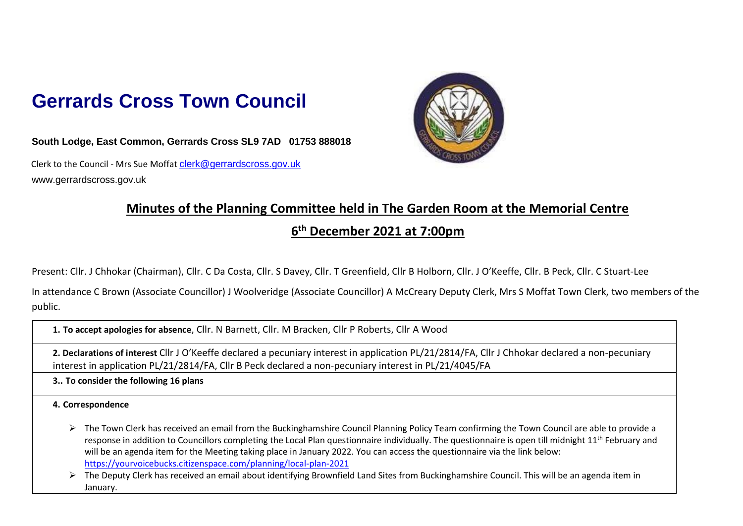## **Gerrards Cross Town Council**

**South Lodge, East Common, Gerrards Cross SL9 7AD 01753 888018**

Clerk to the Council - Mrs Sue Moffat clerk@gerrardscross.gov.uk www.gerrardscross.gov.uk



## **Minutes of the Planning Committee held in The Garden Room at the Memorial Centre**

## **6 th December 2021 at 7:00pm**

Present: Cllr. J Chhokar (Chairman), Cllr. C Da Costa, Cllr. S Davey, Cllr. T Greenfield, Cllr B Holborn, Cllr. J O'Keeffe, Cllr. B Peck, Cllr. C Stuart-Lee

In attendance C Brown (Associate Councillor) J Woolveridge (Associate Councillor) A McCreary Deputy Clerk, Mrs S Moffat Town Clerk, two members of the public.

**1. To accept apologies for absence**, Cllr. N Barnett, Cllr. M Bracken, Cllr P Roberts, Cllr A Wood

**2. Declarations of interest** Cllr J O'Keeffe declared a pecuniary interest in application PL/21/2814/FA, Cllr J Chhokar declared a non-pecuniary interest in application PL/21/2814/FA, Cllr B Peck declared a non-pecuniary interest in PL/21/4045/FA

**3.. To consider the following 16 plans**

**4. Correspondence** 

➢ The Town Clerk has received an email from the Buckinghamshire Council Planning Policy Team confirming the Town Council are able to provide a response in addition to Councillors completing the Local Plan questionnaire individually. The questionnaire is open till midnight 11<sup>th</sup> February and will be an agenda item for the Meeting taking place in January 2022. You can access the questionnaire via the link below: <https://yourvoicebucks.citizenspace.com/planning/local-plan-2021>

➢ The Deputy Clerk has received an email about identifying Brownfield Land Sites from Buckinghamshire Council. This will be an agenda item in January.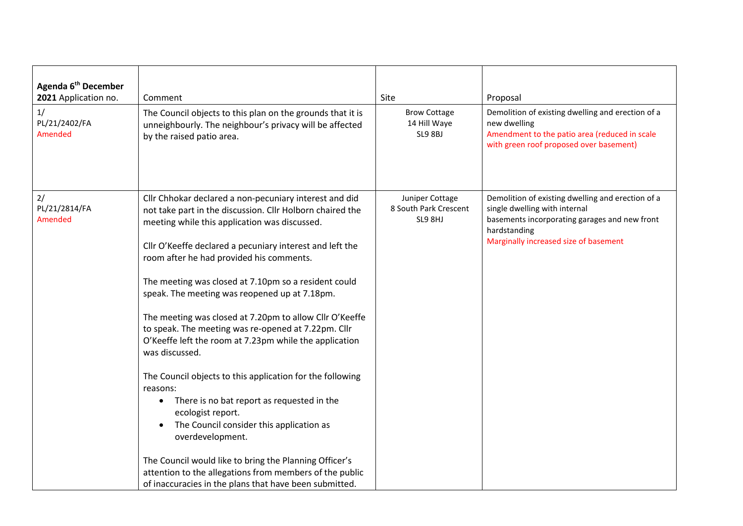| Agenda 6 <sup>th</sup> December<br>2021 Application no.<br>1/<br>PL/21/2402/FA<br>Amended | Comment<br>The Council objects to this plan on the grounds that it is<br>unneighbourly. The neighbour's privacy will be affected<br>by the raised patio area.                                                                                                                                                                                                                                                                                                                                                                                                                                                                                                                                                                                                                                                                                                                                                                                                                               | Site<br><b>Brow Cottage</b><br>14 Hill Waye<br>SL9 8BJ | Proposal<br>Demolition of existing dwelling and erection of a<br>new dwelling<br>Amendment to the patio area (reduced in scale<br>with green roof proposed over basement)                    |
|-------------------------------------------------------------------------------------------|---------------------------------------------------------------------------------------------------------------------------------------------------------------------------------------------------------------------------------------------------------------------------------------------------------------------------------------------------------------------------------------------------------------------------------------------------------------------------------------------------------------------------------------------------------------------------------------------------------------------------------------------------------------------------------------------------------------------------------------------------------------------------------------------------------------------------------------------------------------------------------------------------------------------------------------------------------------------------------------------|--------------------------------------------------------|----------------------------------------------------------------------------------------------------------------------------------------------------------------------------------------------|
| 2/<br>PL/21/2814/FA<br>Amended                                                            | Cllr Chhokar declared a non-pecuniary interest and did<br>not take part in the discussion. Cllr Holborn chaired the<br>meeting while this application was discussed.<br>Cllr O'Keeffe declared a pecuniary interest and left the<br>room after he had provided his comments.<br>The meeting was closed at 7.10pm so a resident could<br>speak. The meeting was reopened up at 7.18pm.<br>The meeting was closed at 7.20pm to allow Cllr O'Keeffe<br>to speak. The meeting was re-opened at 7.22pm. Cllr<br>O'Keeffe left the room at 7.23pm while the application<br>was discussed.<br>The Council objects to this application for the following<br>reasons:<br>There is no bat report as requested in the<br>$\bullet$<br>ecologist report.<br>The Council consider this application as<br>overdevelopment.<br>The Council would like to bring the Planning Officer's<br>attention to the allegations from members of the public<br>of inaccuracies in the plans that have been submitted. | Juniper Cottage<br>8 South Park Crescent<br>SL9 8HJ    | Demolition of existing dwelling and erection of a<br>single dwelling with internal<br>basements incorporating garages and new front<br>hardstanding<br>Marginally increased size of basement |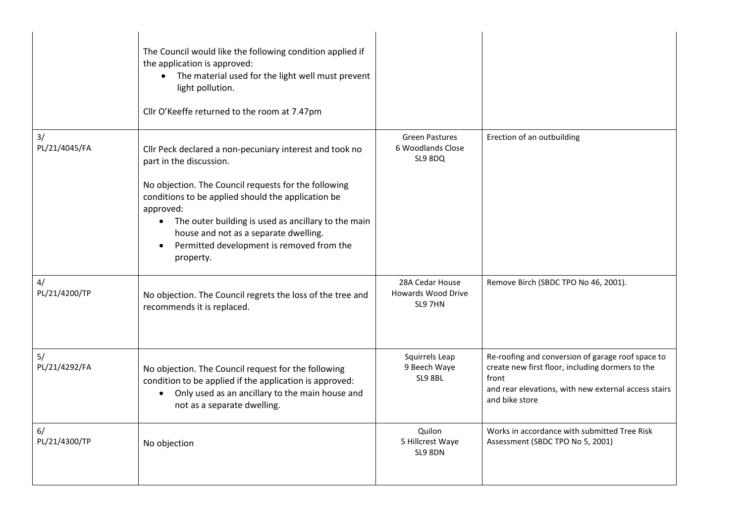|                     | The Council would like the following condition applied if<br>the application is approved:<br>The material used for the light well must prevent<br>light pollution.<br>Cllr O'Keeffe returned to the room at 7.47pm                                                                                                                                                                     |                                                       |                                                                                                                                                                                          |
|---------------------|----------------------------------------------------------------------------------------------------------------------------------------------------------------------------------------------------------------------------------------------------------------------------------------------------------------------------------------------------------------------------------------|-------------------------------------------------------|------------------------------------------------------------------------------------------------------------------------------------------------------------------------------------------|
| 3/<br>PL/21/4045/FA | Cllr Peck declared a non-pecuniary interest and took no<br>part in the discussion.<br>No objection. The Council requests for the following<br>conditions to be applied should the application be<br>approved:<br>• The outer building is used as ancillary to the main<br>house and not as a separate dwelling.<br>Permitted development is removed from the<br>$\bullet$<br>property. | <b>Green Pastures</b><br>6 Woodlands Close<br>SL9 8DQ | Erection of an outbuilding                                                                                                                                                               |
| 4/<br>PL/21/4200/TP | No objection. The Council regrets the loss of the tree and<br>recommends it is replaced.                                                                                                                                                                                                                                                                                               | 28A Cedar House<br>Howards Wood Drive<br>SL9 7HN      | Remove Birch (SBDC TPO No 46, 2001).                                                                                                                                                     |
| 5/<br>PL/21/4292/FA | No objection. The Council request for the following<br>condition to be applied if the application is approved:<br>• Only used as an ancillary to the main house and<br>not as a separate dwelling.                                                                                                                                                                                     | Squirrels Leap<br>9 Beech Waye<br>SL9 8BL             | Re-roofing and conversion of garage roof space to<br>create new first floor, including dormers to the<br>front<br>and rear elevations, with new external access stairs<br>and bike store |
| 6/<br>PL/21/4300/TP | No objection                                                                                                                                                                                                                                                                                                                                                                           | Quilon<br>5 Hillcrest Waye<br>SL9 8DN                 | Works in accordance with submitted Tree Risk<br>Assessment (SBDC TPO No 5, 2001)                                                                                                         |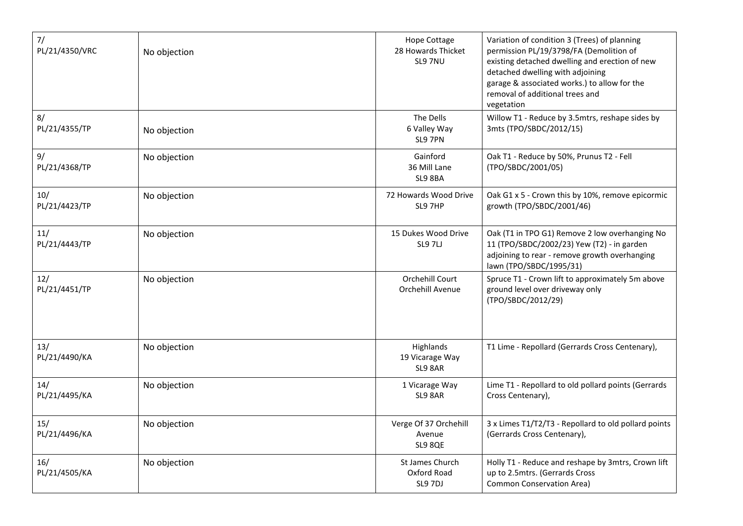| 7/<br>PL/21/4350/VRC | No objection | <b>Hope Cottage</b><br>28 Howards Thicket<br>SL9 7NU | Variation of condition 3 (Trees) of planning<br>permission PL/19/3798/FA (Demolition of<br>existing detached dwelling and erection of new<br>detached dwelling with adjoining<br>garage & associated works.) to allow for the<br>removal of additional trees and<br>vegetation |
|----------------------|--------------|------------------------------------------------------|--------------------------------------------------------------------------------------------------------------------------------------------------------------------------------------------------------------------------------------------------------------------------------|
| 8/<br>PL/21/4355/TP  | No objection | The Dells<br>6 Valley Way<br>SL9 7PN                 | Willow T1 - Reduce by 3.5mtrs, reshape sides by<br>3mts (TPO/SBDC/2012/15)                                                                                                                                                                                                     |
| 9/<br>PL/21/4368/TP  | No objection | Gainford<br>36 Mill Lane<br>SL9 8BA                  | Oak T1 - Reduce by 50%, Prunus T2 - Fell<br>(TPO/SBDC/2001/05)                                                                                                                                                                                                                 |
| 10/<br>PL/21/4423/TP | No objection | 72 Howards Wood Drive<br>SL9 7HP                     | Oak G1 x 5 - Crown this by 10%, remove epicormic<br>growth (TPO/SBDC/2001/46)                                                                                                                                                                                                  |
| 11/<br>PL/21/4443/TP | No objection | 15 Dukes Wood Drive<br><b>SL9 7LJ</b>                | Oak (T1 in TPO G1) Remove 2 low overhanging No<br>11 (TPO/SBDC/2002/23) Yew (T2) - in garden<br>adjoining to rear - remove growth overhanging<br>lawn (TPO/SBDC/1995/31)                                                                                                       |
| 12/<br>PL/21/4451/TP | No objection | Orchehill Court<br>Orchehill Avenue                  | Spruce T1 - Crown lift to approximately 5m above<br>ground level over driveway only<br>(TPO/SBDC/2012/29)                                                                                                                                                                      |
| 13/<br>PL/21/4490/KA | No objection | Highlands<br>19 Vicarage Way<br>SL9 8AR              | T1 Lime - Repollard (Gerrards Cross Centenary),                                                                                                                                                                                                                                |
| 14/<br>PL/21/4495/KA | No objection | 1 Vicarage Way<br>SL9 8AR                            | Lime T1 - Repollard to old pollard points (Gerrards<br>Cross Centenary),                                                                                                                                                                                                       |
| 15/<br>PL/21/4496/KA | No objection | Verge Of 37 Orchehill<br>Avenue<br>SL9 8QE           | 3 x Limes T1/T2/T3 - Repollard to old pollard points<br>(Gerrards Cross Centenary),                                                                                                                                                                                            |
| 16/<br>PL/21/4505/KA | No objection | St James Church<br>Oxford Road<br>SL9 7DJ            | Holly T1 - Reduce and reshape by 3mtrs, Crown lift<br>up to 2.5mtrs. (Gerrards Cross<br><b>Common Conservation Area)</b>                                                                                                                                                       |